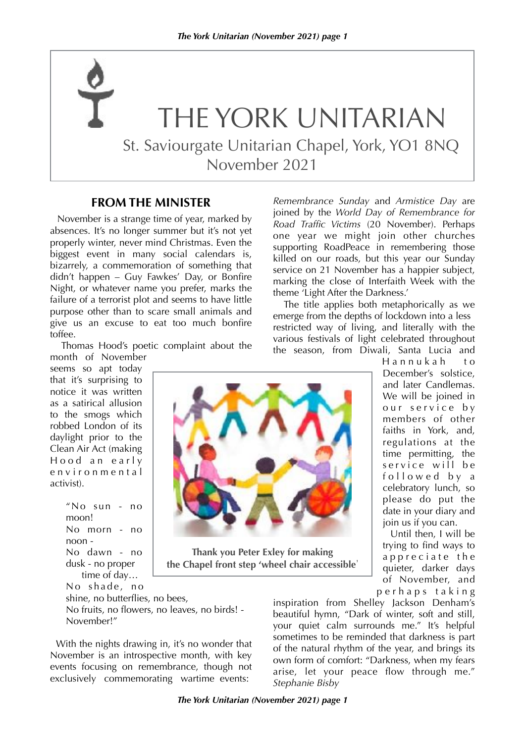November 2021

THE YORK UNITARIAN

St. Saviourgate Unitarian Chapel, York, YO1 8NQ

# **FROM THE MINISTER**

 November is a strange time of year, marked by absences. It's no longer summer but it's not yet properly winter, never mind Christmas. Even the biggest event in many social calendars is, bizarrely, a commemoration of something that didn't happen – Guy Fawkes' Day, or Bonfire Night, or whatever name you prefer, marks the failure of a terrorist plot and seems to have little purpose other than to scare small animals and give us an excuse to eat too much bonfire toffee.

Thomas Hood's poetic complaint about the

month of November seems so apt today that it's surprising to notice it was written as a satirical allusion to the smogs which robbed London of its daylight prior to the Clean Air Act (making Hood an early e n v i r o n m e n t a l activist).

```
"No sun - no 
moon! 
No morn - no 
noon - 
No dawn - no 
dusk - no proper 
    time of day…
No shade, no
```
*Remembrance Sunday* and *Armistice Day* are joined by the *World Day of Remembrance for Road Traffic Victims* (20 November). Perhaps one year we might join other churches supporting RoadPeace in remembering those killed on our roads, but this year our Sunday service on 21 November has a happier subject, marking the close of Interfaith Week with the theme 'Light After the Darkness.'

 The title applies both metaphorically as we emerge from the depths of lockdown into a less restricted way of living, and literally with the various festivals of light celebrated throughout the season, from Diwali, Santa Lucia and

> Hannukah to December's solstice, and later Candlemas. We will be joined in our service by members of other faiths in York, and, regulations at the time permitting, the service will be followed by a celebratory lunch, so please do put the date in your diary and join us if you can.

 Until then, I will be trying to find ways to a p p r e c i a t e th e quieter, darker days of November, and p e r h a p s t a k i n g

shine, no butterflies, no bees, No fruits, no flowers, no leaves, no birds! - November!"

 With the nights drawing in, it's no wonder that November is an introspective month, with key events focusing on remembrance, though not exclusively commemorating wartime events:

inspiration from Shelley Jackson Denham's beautiful hymn, "Dark of winter, soft and still, your quiet calm surrounds me." It's helpful sometimes to be reminded that darkness is part of the natural rhythm of the year, and brings its own form of comfort: "Darkness, when my fears arise, let your peace flow through me." *Stephanie Bisby*

**Thank you Peter Exley for making the Chapel front step 'wheel chair accessible**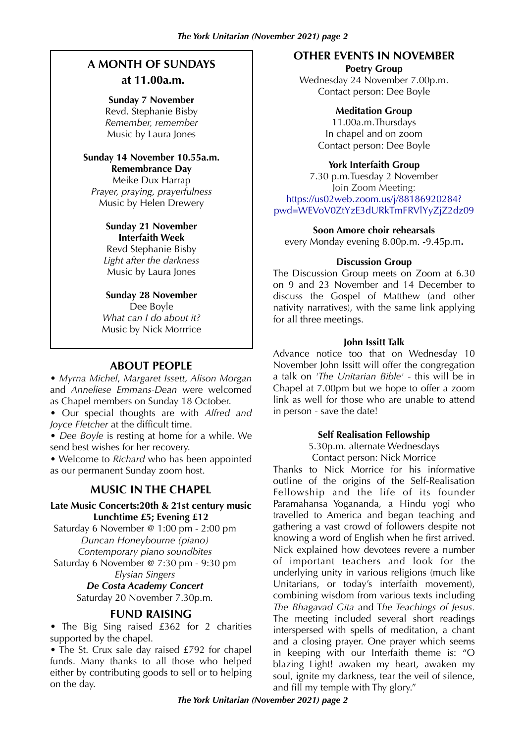## **A MONTH OF SUNDAYS at 11.00a.m.**

#### **Sunday 7 November**

Revd. Stephanie Bisby *Remember, remember* Music by Laura Jones

#### **Sunday 14 November 10.55a.m. Remembrance Day**

Meike Dux Harrap *Prayer, praying, prayerfulness* Music by Helen Drewery

#### **Sunday 21 November Interfaith Week**

Revd Stephanie Bisby *Light after the darkness* Music by Laura Jones

#### **Sunday 28 November**

Dee Boyle *What can I do about it?* Music by Nick Morrrice

### **ABOUT PEOPLE**

• *Myrna Michel*, *Margaret Issett, Alison Morgan* and *Anneliese Emmans-Dean* were welcomed as Chapel members on Sunday 18 October.

• Our special thoughts are with *Alfred and Joyce Fletcher* at the difficult time.

• *Dee Boyle* is resting at home for a while. We send best wishes for her recovery.

• Welcome to *Richard* who has been appointed as our permanent Sunday zoom host.

#### **MUSIC IN THE CHAPEL**

#### **Late Music Concerts:20th & 21st century music Lunchtime £5; Evening £12**

Saturday 6 November @ 1:00 pm - 2:00 pm *Duncan Honeybourne (piano) Contemporary piano soundbites*

Saturday 6 November @ 7:30 pm - 9:30 pm *Elysian Singers*

#### *De Costa Academy Concert*  Saturday 20 November 7.30p.m*.*

#### **FUND RAISING**

• The Big Sing raised £362 for 2 charities supported by the chapel.

• The St. Crux sale day raised £792 for chapel funds. Many thanks to all those who helped either by contributing goods to sell or to helping on the day.

#### **OTHER EVENTS IN NOVEMBER**

**Poetry Group** 

Wednesday 24 November 7.00p.m. Contact person: Dee Boyle

#### **Meditation Group**

11.00a.m.Thursdays In chapel and on zoom Contact person: Dee Boyle

#### **York Interfaith Group**

7.30 p.m.Tuesday 2 November Join Zoom Meeting: https://us02web.zoom.us/j/88186920284? pwd=WEVoV0ZtYzE3dURkTmFRVlYyZjZ2dz09

#### **Soon Amore choir rehearsals**

every Monday evening 8.00p.m. -9.45p.m**.**

#### **Discussion Group**

The Discussion Group meets on Zoom at 6.30 on 9 and 23 November and 14 December to discuss the Gospel of Matthew (and other nativity narratives), with the same link applying for all three meetings.

#### **John Issitt Talk**

Advance notice too that on Wednesday 10 November John Issitt will offer the congregation a talk on *'The Unitarian Bible'* - this will be in Chapel at 7.00pm but we hope to offer a zoom link as well for those who are unable to attend in person - save the date!

#### **Self Realisation Fellowship**

5.30p.m. alternate Wednesdays Contact person: Nick Morrice

Thanks to Nick Morrice for his informative outline of the origins of the Self-Realisation Fellowship and the life of its founder Paramahansa Yogananda, a Hindu yogi who travelled to America and began teaching and gathering a vast crowd of followers despite not knowing a word of English when he first arrived. Nick explained how devotees revere a number of important teachers and look for the underlying unity in various religions (much like Unitarians, or today's interfaith movement), combining wisdom from various texts including *The Bhagavad Gita* and T*he Teachings of Jesus.* The meeting included several short readings interspersed with spells of meditation, a chant and a closing prayer. One prayer which seems in keeping with our Interfaith theme is: "O blazing Light! awaken my heart, awaken my soul, ignite my darkness, tear the veil of silence, and fill my temple with Thy glory."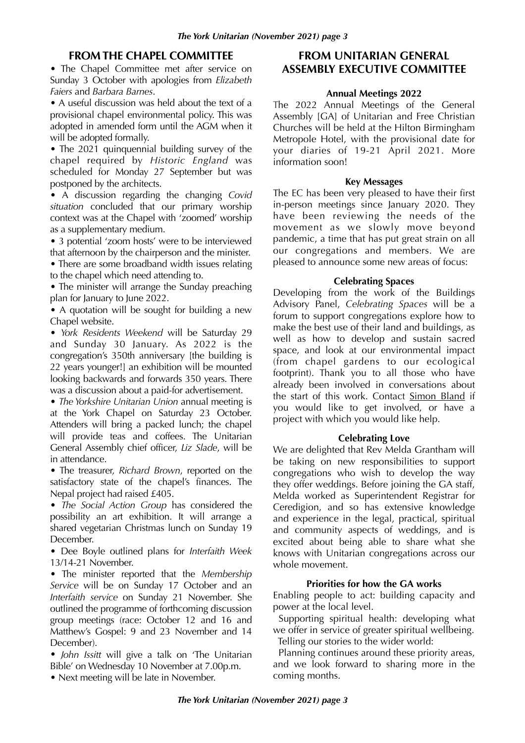#### **FROM THE CHAPEL COMMITTEE**

• The Chapel Committee met after service on Sunday 3 October with apologies from *Elizabeth Faiers* and *Barbara Barnes*.

• A useful discussion was held about the text of a provisional chapel environmental policy. This was adopted in amended form until the AGM when it will be adopted formally.

• The 2021 quinquennial building survey of the chapel required by *Historic England* was scheduled for Monday 27 September but was postponed by the architects.

• A discussion regarding the changing *Covid situation* concluded that our primary worship context was at the Chapel with 'zoomed' worship as a supplementary medium.

• 3 potential 'zoom hosts' were to be interviewed that afternoon by the chairperson and the minister.

• There are some broadband width issues relating to the chapel which need attending to.

• The minister will arrange the Sunday preaching plan for January to June 2022.

• A quotation will be sought for building a new Chapel website.

• *York Residents Weekend* will be Saturday 29 and Sunday 30 January. As 2022 is the congregation's 350th anniversary [the building is 22 years younger!] an exhibition will be mounted looking backwards and forwards 350 years. There was a discussion about a paid-for advertisement.

• *The Yorkshire Unitarian Union* annual meeting is at the York Chapel on Saturday 23 October. Attenders will bring a packed lunch; the chapel will provide teas and coffees. The Unitarian General Assembly chief officer, *Liz Slade*, will be in attendance.

• The treasurer, *Richard Brown*, reported on the satisfactory state of the chapel's finances. The Nepal project had raised £405.

• *The Social Action Group* has considered the possibility an art exhibition. It will arrange a shared vegetarian Christmas lunch on Sunday 19 December.

• Dee Boyle outlined plans for *Interfaith Week*  13/14-21 November.

• The minister reported that the *Membership Service* will be on Sunday 17 October and an *Interfaith service* on Sunday 21 November. She outlined the programme of forthcoming discussion group meetings (race: October 12 and 16 and Matthew's Gospel: 9 and 23 November and 14 December).

• *John Issitt* will give a talk on 'The Unitarian Bible' on Wednesday 10 November at 7.00p.m.

• Next meeting will be late in November.

### **FROM UNITARIAN GENERAL ASSEMBLY EXECUTIVE COMMITTEE**

#### **Annual Meetings 2022**

The 2022 Annual Meetings of the General Assembly [GA] of Unitarian and Free Christian Churches will be held at the Hilton Birmingham Metropole Hotel, with the provisional date for your diaries of 19-21 April 2021. More information soon!

#### **Key Messages**

The EC has been very pleased to have their first in-person meetings since January 2020. They have been reviewing the needs of the movement as we slowly move beyond pandemic, a time that has put great strain on all our congregations and members. We are pleased to announce some new areas of focus:

#### **Celebrating Spaces**

Developing from the work of the Buildings Advisory Panel, *Celebrating Spaces* will be a forum to support congregations explore how to make the best use of their land and buildings, as well as how to develop and sustain sacred space, and look at our environmental impact (from chapel gardens to our ecological footprint). Thank you to all those who have already been involved in conversations about the start of this work. Contact [Simon Bland](mailto:sbland@unitarian.org.uk%22%20%5Ct%20%22_blank) if you would like to get involved, or have a project with which you would like help.

#### **Celebrating Love**

We are delighted that Rev Melda Grantham will be taking on new responsibilities to support congregations who wish to develop the way they offer weddings. Before joining the GA staff, Melda worked as Superintendent Registrar for Ceredigion, and so has extensive knowledge and experience in the legal, practical, spiritual and community aspects of weddings, and is excited about being able to share what she knows with Unitarian congregations across our whole movement.

#### **Priorities for how the GA works**

Enabling people to act: building capacity and power at the local level.

 Supporting spiritual health: developing what we offer in service of greater spiritual wellbeing. Telling our stories to the wider world:

 Planning continues around these priority areas, and we look forward to sharing more in the coming months.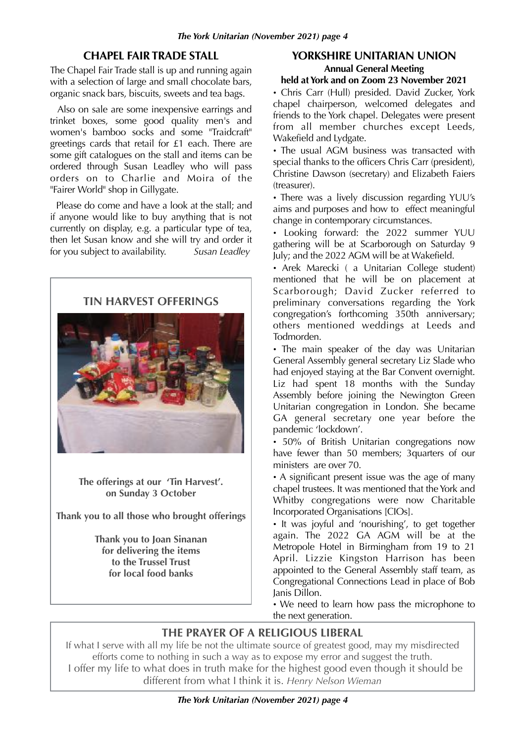### **CHAPEL FAIR TRADE STALL**

The Chapel Fair Trade stall is up and running again with a selection of large and small chocolate bars, organic snack bars, biscuits, sweets and tea bags.

 Also on sale are some inexpensive earrings and trinket boxes, some good quality men's and women's bamboo socks and some "Traidcraft" greetings cards that retail for £1 each. There are some gift catalogues on the stall and items can be ordered through Susan Leadley who will pass orders on to Charlie and Moira of the "Fairer World" shop in Gillygate.

 Please do come and have a look at the stall; and if anyone would like to buy anything that is not currently on display, e.g. a particular type of tea, then let Susan know and she will try and order it for you subject to availability. *Susan Leadley*



**The offerings at our 'Tin Harvest'. on Sunday 3 October**

**Thank you to all those who brought offerings**

**Thank you to Joan Sinanan for delivering the items to the Trussel Trust for local food banks**

#### **YORKSHIRE UNITARIAN UNION Annual General Meeting held at York and on Zoom 23 November 2021**

• Chris Carr (Hull) presided. David Zucker, York chapel chairperson, welcomed delegates and friends to the York chapel. Delegates were present from all member churches except Leeds, Wakefield and Lydgate.

• The usual AGM business was transacted with special thanks to the officers Chris Carr (president), Christine Dawson (secretary) and Elizabeth Faiers (treasurer).

• There was a lively discussion regarding YUU's aims and purposes and how to effect meaningful change in contemporary circumstances.

• Looking forward: the 2022 summer YUU gathering will be at Scarborough on Saturday 9 July; and the 2022 AGM will be at Wakefield.

• Arek Marecki ( a Unitarian College student) mentioned that he will be on placement at Scarborough; David Zucker referred to preliminary conversations regarding the York congregation's forthcoming 350th anniversary; others mentioned weddings at Leeds and Todmorden.

• The main speaker of the day was Unitarian General Assembly general secretary Liz Slade who had enjoyed staying at the Bar Convent overnight. Liz had spent 18 months with the Sunday Assembly before joining the Newington Green Unitarian congregation in London. She became GA general secretary one year before the pandemic 'lockdown'.

• 50% of British Unitarian congregations now have fewer than 50 members; 3quarters of our ministers are over 70.

• A significant present issue was the age of many chapel trustees. It was mentioned that the York and Whitby congregations were now Charitable Incorporated Organisations [CIOs].

• It was joyful and 'nourishing', to get together again. The 2022 GA AGM will be at the Metropole Hotel in Birmingham from 19 to 21 April. Lizzie Kingston Harrison has been appointed to the General Assembly staff team, as Congregational Connections Lead in place of Bob Janis Dillon.

• We need to learn how pass the microphone to the next generation.

## **THE PRAYER OF A RELIGIOUS LIBERAL**

If what I serve with all my life be not the ultimate source of greatest good, may my misdirected efforts come to nothing in such a way as to expose my error and suggest the truth. I offer my life to what does in truth make for the highest good even though it should be different from what I think it is. Henry Nelson Wieman

*The York Unitarian (November 2021) page 4*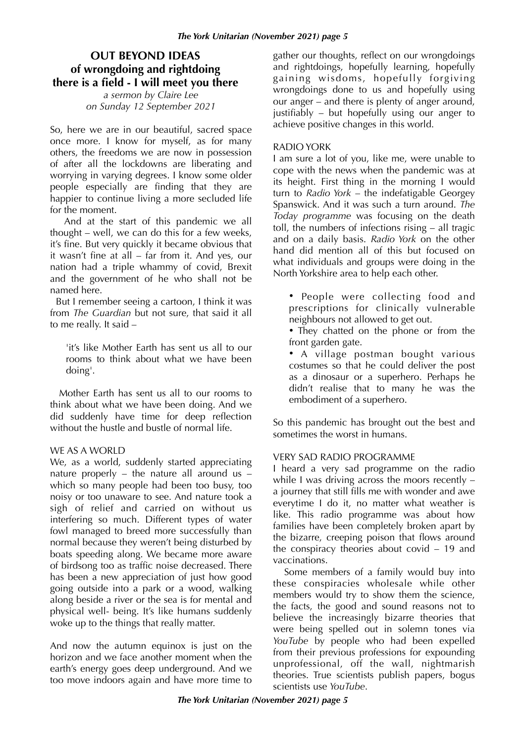## **OUT BEYOND IDEAS of wrongdoing and rightdoing there is a field - I will meet you there**

*a sermon by Claire Lee on Sunday 12 September 2021*

So, here we are in our beautiful, sacred space once more. I know for myself, as for many others, the freedoms we are now in possession of after all the lockdowns are liberating and worrying in varying degrees. I know some older people especially are finding that they are happier to continue living a more secluded life for the moment.

 And at the start of this pandemic we all thought – well, we can do this for a few weeks, it's fine. But very quickly it became obvious that it wasn't fine at all – far from it. And yes, our nation had a triple whammy of covid, Brexit and the government of he who shall not be named here.

 But I remember seeing a cartoon, I think it was from *The Guardian* but not sure, that said it all to me really. It said –

'it's like Mother Earth has sent us all to our rooms to think about what we have been doing'.

 Mother Earth has sent us all to our rooms to think about what we have been doing. And we did suddenly have time for deep reflection without the hustle and bustle of normal life.

#### WE AS A WORLD

We, as a world, suddenly started appreciating nature properly – the nature all around us – which so many people had been too busy, too noisy or too unaware to see. And nature took a sigh of relief and carried on without us interfering so much. Different types of water fowl managed to breed more successfully than normal because they weren't being disturbed by boats speeding along. We became more aware of birdsong too as traffic noise decreased. There has been a new appreciation of just how good going outside into a park or a wood, walking along beside a river or the sea is for mental and physical well- being. It's like humans suddenly woke up to the things that really matter.

And now the autumn equinox is just on the horizon and we face another moment when the earth's energy goes deep underground. And we too move indoors again and have more time to gather our thoughts, reflect on our wrongdoings and rightdoings, hopefully learning, hopefully gaining wisdoms, hopefully forgiving wrongdoings done to us and hopefully using our anger – and there is plenty of anger around, justifiably – but hopefully using our anger to achieve positive changes in this world.

#### RADIO YORK

I am sure a lot of you, like me, were unable to cope with the news when the pandemic was at its height. First thing in the morning I would turn to *Radio York* – the indefatigable Georgey Spanswick. And it was such a turn around. *The Today programme* was focusing on the death toll, the numbers of infections rising – all tragic and on a daily basis. *Radio York* on the other hand did mention all of this but focused on what individuals and groups were doing in the North Yorkshire area to help each other.

• People were collecting food and prescriptions for clinically vulnerable neighbours not allowed to get out.

• They chatted on the phone or from the front garden gate.

• A village postman bought various costumes so that he could deliver the post as a dinosaur or a superhero. Perhaps he didn't realise that to many he was the embodiment of a superhero.

So this pandemic has brought out the best and sometimes the worst in humans.

#### VERY SAD RADIO PROGRAMME

I heard a very sad programme on the radio while I was driving across the moors recently – a journey that still fills me with wonder and awe everytime I do it, no matter what weather is like. This radio programme was about how families have been completely broken apart by the bizarre, creeping poison that flows around the conspiracy theories about covid – 19 and vaccinations.

 Some members of a family would buy into these conspiracies wholesale while other members would try to show them the science, the facts, the good and sound reasons not to believe the increasingly bizarre theories that were being spelled out in solemn tones via *YouTube* by people who had been expelled from their previous professions for expounding unprofessional, off the wall, nightmarish theories. True scientists publish papers, bogus scientists use *YouTube*.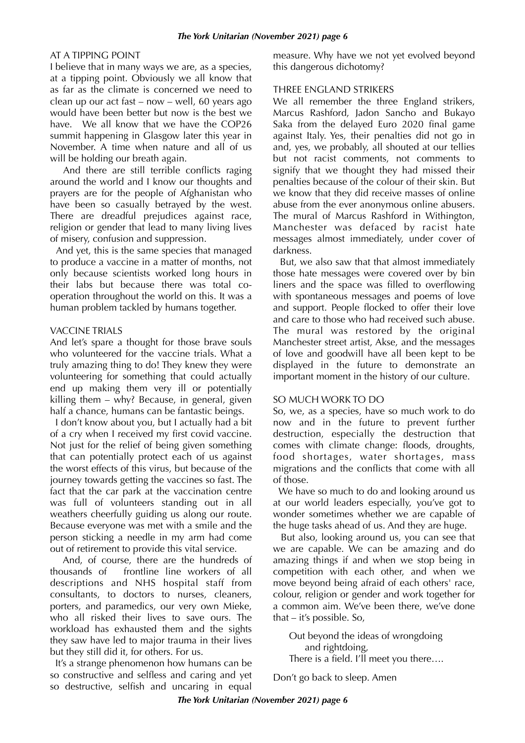#### AT A TIPPING POINT

I believe that in many ways we are, as a species, at a tipping point. Obviously we all know that as far as the climate is concerned we need to clean up our act fast – now – well, 60 years ago would have been better but now is the best we have. We all know that we have the COP26 summit happening in Glasgow later this year in November. A time when nature and all of us will be holding our breath again.

 And there are still terrible conflicts raging around the world and I know our thoughts and prayers are for the people of Afghanistan who have been so casually betrayed by the west. There are dreadful prejudices against race, religion or gender that lead to many living lives of misery, confusion and suppression.

 And yet, this is the same species that managed to produce a vaccine in a matter of months, not only because scientists worked long hours in their labs but because there was total cooperation throughout the world on this. It was a human problem tackled by humans together.

#### VACCINE TRIALS

And let's spare a thought for those brave souls who volunteered for the vaccine trials. What a truly amazing thing to do! They knew they were volunteering for something that could actually end up making them very ill or potentially killing them – why? Because, in general, given half a chance, humans can be fantastic beings.

 I don't know about you, but I actually had a bit of a cry when I received my first covid vaccine. Not just for the relief of being given something that can potentially protect each of us against the worst effects of this virus, but because of the journey towards getting the vaccines so fast. The fact that the car park at the vaccination centre was full of volunteers standing out in all weathers cheerfully guiding us along our route. Because everyone was met with a smile and the person sticking a needle in my arm had come out of retirement to provide this vital service.

 And, of course, there are the hundreds of thousands of frontline line workers of all descriptions and NHS hospital staff from consultants, to doctors to nurses, cleaners, porters, and paramedics, our very own Mieke, who all risked their lives to save ours. The workload has exhausted them and the sights they saw have led to major trauma in their lives but they still did it, for others. For us.

 It's a strange phenomenon how humans can be so constructive and selfless and caring and yet so destructive, selfish and uncaring in equal

measure. Why have we not yet evolved beyond this dangerous dichotomy?

#### THREE ENGLAND STRIKERS

We all remember the three England strikers, Marcus Rashford, Jadon Sancho and Bukayo Saka from the delayed Euro 2020 final game against Italy. Yes, their penalties did not go in and, yes, we probably, all shouted at our tellies but not racist comments, not comments to signify that we thought they had missed their penalties because of the colour of their skin. But we know that they did receive masses of online abuse from the ever anonymous online abusers. The mural of Marcus Rashford in Withington, Manchester was defaced by racist hate messages almost immediately, under cover of darkness.

 But, we also saw that that almost immediately those hate messages were covered over by bin liners and the space was filled to overflowing with spontaneous messages and poems of love and support. People flocked to offer their love and care to those who had received such abuse. The mural was restored by the original Manchester street artist, Akse, and the messages of love and goodwill have all been kept to be displayed in the future to demonstrate an important moment in the history of our culture.

#### SO MUCH WORK TO DO

So, we, as a species, have so much work to do now and in the future to prevent further destruction, especially the destruction that comes with climate change: floods, droughts, food shortages, water shortages, mass migrations and the conflicts that come with all of those.

We have so much to do and looking around us at our world leaders especially, you've got to wonder sometimes whether we are capable of the huge tasks ahead of us. And they are huge.

 But also, looking around us, you can see that we are capable. We can be amazing and do amazing things if and when we stop being in competition with each other, and when we move beyond being afraid of each others' race, colour, religion or gender and work together for a common aim. We've been there, we've done that – it's possible. So,

Out beyond the ideas of wrongdoing and rightdoing,

There is a field. I'll meet you there….

Don't go back to sleep. Amen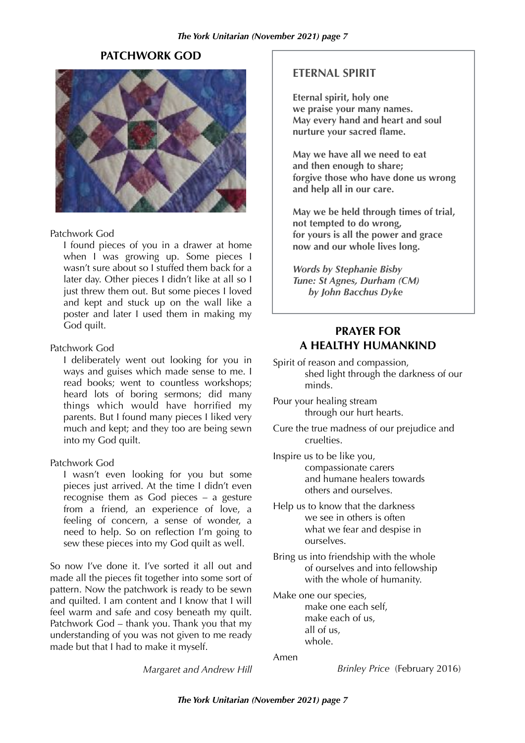#### **PATCHWORK GOD**



#### Patchwork God

I found pieces of you in a drawer at home when I was growing up. Some pieces I wasn't sure about so I stuffed them back for a later day. Other pieces I didn't like at all so I just threw them out. But some pieces I loved and kept and stuck up on the wall like a poster and later I used them in making my God quilt.

#### Patchwork God

I deliberately went out looking for you in ways and guises which made sense to me. I read books; went to countless workshops; heard lots of boring sermons; did many things which would have horrified my parents. But I found many pieces I liked very much and kept; and they too are being sewn into my God quilt.

#### Patchwork God

I wasn't even looking for you but some pieces just arrived. At the time I didn't even recognise them as God pieces – a gesture from a friend, an experience of love, a feeling of concern, a sense of wonder, a need to help. So on reflection I'm going to sew these pieces into my God quilt as well.

So now I've done it. I've sorted it all out and made all the pieces fit together into some sort of pattern. Now the patchwork is ready to be sewn and quilted. I am content and I know that I will feel warm and safe and cosy beneath my quilt. Patchwork God – thank you. Thank you that my understanding of you was not given to me ready made but that I had to make it myself.

*Margaret and Andrew Hill*

#### **ETERNAL SPIRIT**

**Eternal spirit, holy one we praise your many names. May every hand and heart and soul nurture your sacred fl**

**May we have all we need to eat and then enough to share; forgive those who have done us wrong and help all in our care.** 

**May we be held through times of trial, not tempted to do wrong, for yours is all the power and grace now and our whole lives long.** 

*Words by Stephanie Bisby Tune: St Agnes, Durham (CM) by John Bacchus Dyke*

### **PRAYER FOR A HEALTHY HUMANKIND**

- Spirit of reason and compassion, shed light through the darkness of our minds.
- Pour your healing stream through our hurt hearts.
- Cure the true madness of our prejudice and cruelties.

Inspire us to be like you, compassionate carers and humane healers towards others and ourselves.

- Help us to know that the darkness we see in others is often what we fear and despise in ourselves.
- Bring us into friendship with the whole of ourselves and into fellowship with the whole of humanity.

Make one our species, make one each self, make each of us, all of us, whole.

Amen

*Brinley Price* (February 2016)